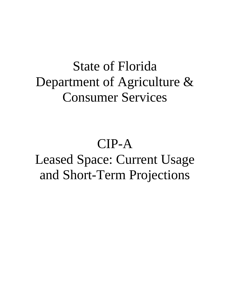# State of Florida Department of Agriculture & Consumer Services

# CIP-A Leased Space: Current Usage and Short-Term Projections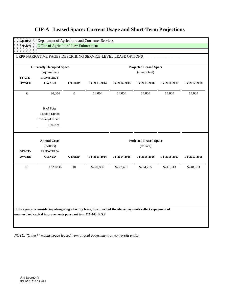|  | <b>CIP-A</b> Leased Space: Current Usage and Short-Term Projections |  |  |  |  |
|--|---------------------------------------------------------------------|--|--|--|--|
|--|---------------------------------------------------------------------|--|--|--|--|

|                  | <b>Currently Occupied Space</b> |                  |              |              | <b>Projected Leased Space</b> |              |              |
|------------------|---------------------------------|------------------|--------------|--------------|-------------------------------|--------------|--------------|
|                  | (square feet)                   |                  |              |              | (square feet)                 |              |              |
| <b>STATE-</b>    | PRIVATELY-                      |                  |              |              |                               |              |              |
| <b>OWNED</b>     | <b>OWNED</b>                    | OTHER*           | FY 2013-2014 | FY 2014-2015 | FY 2015-2016                  | FY 2016-2017 | FY 2017-2018 |
| $\boldsymbol{0}$ | 14,004                          | $\boldsymbol{0}$ | 14,004       | 14,004       | 14,004                        | 14,004       | 14,004       |
|                  | % of Total                      |                  |              |              |                               |              |              |
|                  | <b>Leased Space</b>             |                  |              |              |                               |              |              |
|                  | Privately-Owned                 |                  |              |              |                               |              |              |
|                  | 100.00%                         |                  |              |              |                               |              |              |
|                  | <b>Annual Costs</b>             |                  |              |              | <b>Projected Leased Space</b> |              |              |
|                  | (dollars)                       |                  |              |              | (dollars)                     |              |              |
| <b>STATE-</b>    | PRIVATELY-                      |                  |              |              |                               |              |              |
| <b>OWNED</b>     | <b>OWNED</b>                    | OTHER*           | FY 2013-2014 | FY 2014-2015 | FY 2015-2016                  | FY 2016-2017 | FY 2017-2018 |
| \$0              | \$220,836                       | \$0              | \$220,836    | \$227,461    | \$234,285                     | \$241,313    | \$248,553    |
|                  |                                 |                  |              |              |                               |              |              |
|                  |                                 |                  |              |              |                               |              |              |
|                  |                                 |                  |              |              |                               |              |              |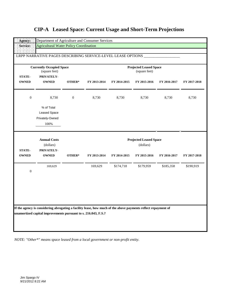|  | <b>CIP-A</b> Leased Space: Current Usage and Short-Term Projections |  |  |  |  |  |
|--|---------------------------------------------------------------------|--|--|--|--|--|
|--|---------------------------------------------------------------------|--|--|--|--|--|

|                               | <b>Currently Occupied Space</b><br>(square feet)      |                  |              |              | <b>Projected Leased Space</b><br>(square feet) |              |              |
|-------------------------------|-------------------------------------------------------|------------------|--------------|--------------|------------------------------------------------|--------------|--------------|
| <b>STATE-</b><br><b>OWNED</b> | PRIVATELY-<br><b>OWNED</b>                            | OTHER*           | FY 2013-2014 | FY 2014-2015 | FY 2015-2016                                   | FY 2016-2017 | FY 2017-2018 |
| $\boldsymbol{0}$              | 8,730                                                 | $\boldsymbol{0}$ | 8,730        | 8,730        | 8,730                                          | 8,730        | 8,730        |
|                               | % of Total<br>Leased Space<br>Privately-Owned<br>100% |                  |              |              |                                                |              |              |
|                               | <b>Annual Costs</b><br>(dollars)                      |                  |              |              | <b>Projected Leased Space</b><br>(dollars)     |              |              |
| <b>STATE-</b><br><b>OWNED</b> | PRIVATELY-<br><b>OWNED</b>                            | OTHER*           | FY 2013-2014 | FY 2014-2015 | FY 2015-2016                                   | FY 2016-2017 | FY 2017-2018 |
| $\boldsymbol{0}$              | 169,629                                               |                  | 169,629      | \$174,718    | \$179,959                                      | \$185,358    | \$190,919    |
|                               |                                                       |                  |              |              |                                                |              |              |
|                               |                                                       |                  |              |              |                                                |              |              |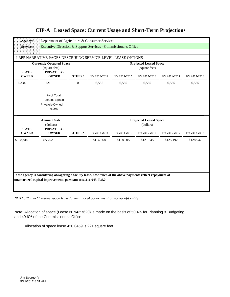| Agency:                       | Department of Agriculture & Consumer Services                                                                 |                |              |              |                                                |              |              |
|-------------------------------|---------------------------------------------------------------------------------------------------------------|----------------|--------------|--------------|------------------------------------------------|--------------|--------------|
| <b>Service:</b>               | Executive Direction & Support Services - Commissioner's Office                                                |                |              |              |                                                |              |              |
|                               |                                                                                                               |                |              |              |                                                |              |              |
|                               | LRPP NARRATIVE PAGES DESCRIBING SERVICE-LEVEL LEASE OPTIONS                                                   |                |              |              |                                                |              |              |
| <b>STATE-</b>                 | <b>Currently Occupied Space</b><br>(square feet)<br>PRIVATELY-                                                |                |              |              | <b>Projected Leased Space</b><br>(square feet) |              |              |
| <b>OWNED</b>                  | <b>OWNED</b>                                                                                                  | OTHER*         | FY 2013-2014 | FY 2014-2015 | FY 2015-2016                                   | FY 2016-2017 | FY 2017-2018 |
| 6,334                         | 221                                                                                                           | $\overline{0}$ | 6,555        | 6,555        | 6,555                                          | 6,555        | 6,555        |
|                               | % of Total<br><b>Leased Space</b><br>Privately-Owned<br>0.00%                                                 |                |              |              |                                                |              |              |
|                               |                                                                                                               |                |              |              |                                                |              |              |
|                               | <b>Annual Costs</b><br>(dollars)                                                                              |                |              |              | <b>Projected Leased Space</b><br>(dollars)     |              |              |
| <b>STATE-</b><br><b>OWNED</b> | PRIVATELY-<br><b>OWNED</b>                                                                                    | OTHER*         | FY 2013-2014 | FY 2014-2015 | FY 2015-2016                                   | FY 2016-2017 | FY 2017-2018 |
| \$108,816                     | \$5,752                                                                                                       |                | \$114,568    | \$118,005    | \$121,545                                      | \$125,192    | \$128,947    |
|                               | If the agency is considering abrogating a facility lease, how much of the above payments reflect repayment of |                |              |              |                                                |              |              |

*NOTE: "Other\*" means space leased from a local government or non-profit entity.*

Note: Allocation of space (Lease N. 942:7620) is made on the basis of 50.4% for Planning & Budgeting and 49.6% of the Commissioner's Office

Allocation of space lease 420.0459 is 221 squsre feet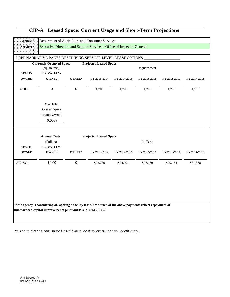| Agency:                       | Department of Agriculture and Consumer Services                        |                  |                                               |              |                           |              |              |
|-------------------------------|------------------------------------------------------------------------|------------------|-----------------------------------------------|--------------|---------------------------|--------------|--------------|
| Service:                      | Executive Direction and Support Services - Office of Inspector General |                  |                                               |              |                           |              |              |
|                               |                                                                        |                  |                                               |              |                           |              |              |
|                               | LRPP NARRATIVE PAGES DESCRIBING SERVICE-LEVEL LEASE OPTIONS            |                  |                                               |              |                           |              |              |
|                               | <b>Currently Occupied Space</b><br>(square feet)                       |                  | <b>Projected Leased Space</b>                 |              | (square feet)             |              |              |
| <b>STATE-</b>                 | PRIVATELY-                                                             |                  |                                               |              |                           |              |              |
| <b>OWNED</b>                  | <b>OWNED</b>                                                           | OTHER*           | FY 2013-2014                                  | FY 2014-2015 | FY 2015-2016              | FY 2016-2017 | FY 2017-2018 |
| 4,708                         | $\overline{0}$                                                         | $\boldsymbol{0}$ | 4,708                                         | 4,708        | 4,708                     | 4,708        | 4,708        |
|                               | % of Total<br>Leased Space<br>Privately-Owned<br>$0.00\%$              |                  |                                               |              |                           |              |              |
| <b>STATE-</b><br><b>OWNED</b> | <b>Annual Costs</b><br>(dollars)<br>PRIVATELY-<br><b>OWNED</b>         | OTHER*           | <b>Projected Leased Space</b><br>FY 2013-2014 | FY 2014-2015 | (dollars)<br>FY 2015-2016 | FY 2016-2017 | FY 2017-2018 |
| \$72,739                      | \$0.00                                                                 | $\mathbf{0}$     | \$72,739                                      | \$74,921     | \$77,169                  | \$79,484     | \$81,868     |
|                               |                                                                        |                  |                                               |              |                           |              |              |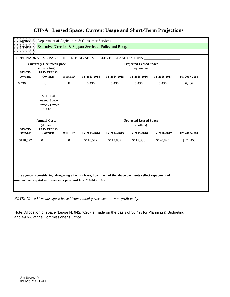|                               | LRPP NARRATIVE PAGES DESCRIBING SERVICE-LEVEL LEASE OPTIONS                    |                |              |              |                                                                |              |              |
|-------------------------------|--------------------------------------------------------------------------------|----------------|--------------|--------------|----------------------------------------------------------------|--------------|--------------|
| <b>STATE-</b><br><b>OWNED</b> | <b>Currently Occupied Space</b><br>(square feet)<br>PRIVATELY-<br><b>OWNED</b> | OTHER*         | FY 2013-2014 | FY 2014-2015 | <b>Projected Leased Space</b><br>(square feet)<br>FY 2015-2016 | FY 2016-2017 | FY 2017-2018 |
| 6,436                         | $\mathbf 0$                                                                    | $\mathbf{0}$   | 6,436        | 6,436        | 6,436                                                          | 6,436        | 6,436        |
|                               | % of Total<br><b>Leased Space</b><br>Privately-Owned<br>0.00%                  |                |              |              |                                                                |              |              |
| <b>STATE-</b>                 | <b>Annual Costs</b><br>(dollars)<br>PRIVATELY-                                 |                |              |              | <b>Projected Leased Space</b><br>(dollars)                     |              |              |
| <b>OWNED</b>                  | <b>OWNED</b>                                                                   | OTHER*         | FY 2013-2014 | FY 2014-2015 | FY 2015-2016                                                   | FY 2016-2017 | FY 2017-2018 |
| \$110,572                     | $\overline{0}$                                                                 | $\overline{0}$ | \$110,572    | \$113,889    | \$117,306                                                      | \$120,825    | \$124,450    |
|                               |                                                                                |                |              |              |                                                                |              |              |
|                               |                                                                                |                |              |              |                                                                |              |              |

*NOTE: "Other\*" means space leased from a local government or non-profit entity.*

Note: Allocation of space (Lease N. 942:7620) is made on the basis of 50.4% for Planning & Budgeting and 49.6% of the Commissioner's Office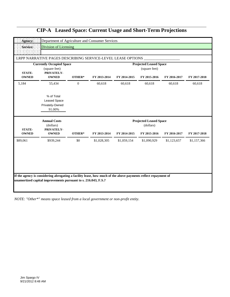| Agency:                       | Department of Agriculture and Consumer Services             |              |              |              |                               |              |              |
|-------------------------------|-------------------------------------------------------------|--------------|--------------|--------------|-------------------------------|--------------|--------------|
| Service:                      | <b>Division of Licensing</b>                                |              |              |              |                               |              |              |
|                               |                                                             |              |              |              |                               |              |              |
|                               | LRPP NARRATIVE PAGES DESCRIBING SERVICE-LEVEL LEASE OPTIONS |              |              |              |                               |              |              |
|                               | <b>Currently Occupied Space</b>                             |              |              |              | <b>Projected Leased Space</b> |              |              |
| <b>STATE-</b>                 | (square feet)<br>PRIVATELY-                                 |              |              |              | (square feet)                 |              |              |
| <b>OWNED</b>                  | <b>OWNED</b>                                                | OTHER*       | FY 2013-2014 | FY 2014-2015 | FY 2015-2016                  | FY 2016-2017 | FY 2017-2018 |
| 5,184                         | 55,434                                                      | $\mathbf{0}$ | 60,618       | 60,618       | 60,618                        | 60,618       | 60,618       |
|                               | % of Total<br>Leased Space<br>Privately-Owned<br>91.00%     |              |              |              |                               |              |              |
|                               |                                                             |              |              |              |                               |              |              |
|                               | <b>Annual Costs</b>                                         |              |              |              | <b>Projected Leased Space</b> |              |              |
| <b>STATE-</b><br><b>OWNED</b> | (dollars)<br>PRIVATELY-<br><b>OWNED</b>                     | OTHER*       | FY 2013-2014 | FY 2014-2015 | (dollars)<br>FY 2015-2016     | FY 2016-2017 | FY 2017-2018 |
| \$89,061                      | \$939,244                                                   | \$0          | \$1,028,305  | \$1,059,154  | \$1,090,929                   | \$1,123,657  | \$1,157,366  |
|                               |                                                             |              |              |              |                               |              |              |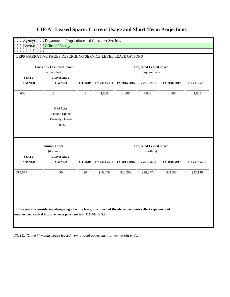|               | <b>Currently Occupied Space</b>                |                  |          |                                        | <b>Projected Leased Space</b>              |              |              |
|---------------|------------------------------------------------|------------------|----------|----------------------------------------|--------------------------------------------|--------------|--------------|
|               | (square feet)                                  |                  |          |                                        | (square feet)                              |              |              |
| <b>STATE-</b> | PRIVATELY-                                     |                  |          |                                        |                                            |              |              |
| <b>OWNED</b>  | <b>OWNED</b>                                   | OTHER*           |          | FY 2013-2014 FY 2014-2015 FY 2015-2016 |                                            | FY 2016-2017 | FY 2017-2018 |
| 4,608         | $\boldsymbol{0}$                               | $\boldsymbol{0}$ | 4,608    | 4,608                                  | 4,608                                      | 4,608        | 4,608        |
|               | % of Total                                     |                  |          |                                        |                                            |              |              |
|               | <b>Leased Space</b>                            |                  |          |                                        |                                            |              |              |
|               | Privately-Owned                                |                  |          |                                        |                                            |              |              |
|               | $0.00\%$                                       |                  |          |                                        |                                            |              |              |
| <b>STATE-</b> | <b>Annual Costs</b><br>(dollars)<br>PRIVATELY- |                  |          |                                        | <b>Projected Leased Space</b><br>(dollars) |              |              |
| <b>OWNED</b>  | <b>OWNED</b>                                   | OTHER*           |          | FY 2013-2014 FY 2014-2015              | FY 2015-2016                               | FY 2016-2017 | FY 2017-2018 |
| \$19,679      | \$0                                            | \$0              | \$19,679 | \$20,269                               | \$20,877                                   | \$21,504     | \$22,149     |
|               |                                                |                  |          |                                        |                                            |              |              |
|               |                                                |                  |          |                                        |                                            |              |              |
|               |                                                |                  |          |                                        |                                            |              |              |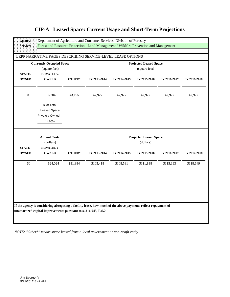|                | <b>Currently Occupied Space</b> |          |              |              | <b>Projected Leased Space</b> |              |              |
|----------------|---------------------------------|----------|--------------|--------------|-------------------------------|--------------|--------------|
|                | (square feet)                   |          |              |              | (square feet)                 |              |              |
| <b>STATE-</b>  | PRIVATELY-                      |          |              |              |                               |              |              |
| <b>OWNED</b>   | <b>OWNED</b>                    | OTHER*   | FY 2013-2014 | FY 2014-2015 | FY 2015-2016                  | FY 2016-2017 | FY 2017-2018 |
| $\overline{0}$ | 6,704                           | 43,195   | 47,927       | 47,927       | 47,927                        | 47,927       | 47,927       |
|                | % of Total                      |          |              |              |                               |              |              |
|                | <b>Leased Space</b>             |          |              |              |                               |              |              |
|                | Privately-Owned                 |          |              |              |                               |              |              |
|                | 14.00%                          |          |              |              |                               |              |              |
|                | <b>Annual Costs</b>             |          |              |              | <b>Projected Leased Space</b> |              |              |
|                | (dollars)                       |          |              |              | (dollars)                     |              |              |
| <b>STATE-</b>  | PRIVATELY-                      |          |              |              |                               |              |              |
| <b>OWNED</b>   | <b>OWNED</b>                    | OTHER*   | FY 2013-2014 | FY 2014-2015 | FY 2015-2016                  | FY 2016-2017 | FY 2017-2018 |
| \$0            | \$24,024                        | \$81,384 | \$105,418    | \$108,581    | \$111,838                     | \$115,193    | \$118,649    |
|                |                                 |          |              |              |                               |              |              |
|                |                                 |          |              |              |                               |              |              |
|                |                                 |          |              |              |                               |              |              |
|                |                                 |          |              |              |                               |              |              |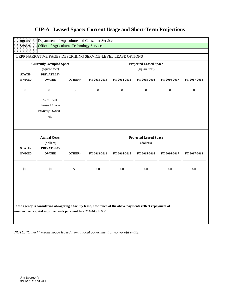| FY 2016-2017<br>FY 2017-2018<br>$\mathbf{0}$<br>$\mathbf{0}$ |
|--------------------------------------------------------------|
|                                                              |
|                                                              |
|                                                              |
|                                                              |
|                                                              |
|                                                              |
|                                                              |
|                                                              |
|                                                              |
| FY 2016-2017<br>FY 2017-2018                                 |
| \$0<br>\$0                                                   |
|                                                              |
|                                                              |
|                                                              |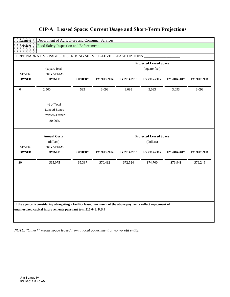|                  | (square feet)       |         |              |              | <b>Projected Leased Space</b><br>(square feet) |              |              |
|------------------|---------------------|---------|--------------|--------------|------------------------------------------------|--------------|--------------|
| <b>STATE-</b>    | PRIVATELY-          |         |              |              |                                                |              |              |
| <b>OWNED</b>     | <b>OWNED</b>        | OTHER*  | FY 2013-2014 | FY 2014-2015 | FY 2015-2016                                   | FY 2016-2017 | FY 2017-2018 |
| $\boldsymbol{0}$ | 2,500               | 593     | 3,093        | 3,093        | 3,093                                          | 3,093        | 3,093        |
|                  | % of Total          |         |              |              |                                                |              |              |
|                  | <b>Leased Space</b> |         |              |              |                                                |              |              |
|                  | Privately-Owned     |         |              |              |                                                |              |              |
|                  | 80.00%              |         |              |              |                                                |              |              |
|                  | <b>Annual Costs</b> |         |              |              | <b>Projected Leased Space</b>                  |              |              |
|                  | (dollars)           |         |              |              | (dollars)                                      |              |              |
|                  |                     |         |              |              |                                                |              |              |
| <b>STATE-</b>    | PRIVATELY-          |         |              |              |                                                |              | FY 2017-2018 |
| <b>OWNED</b>     | <b>OWNED</b>        | OTHER*  | FY 2013-2014 | FY 2014-2015 | FY 2015-2016                                   | FY 2016-2017 |              |
|                  | \$65,075            | \$5,337 | \$70,412     | \$72,524     | \$74,700                                       | \$76,941     | \$79,249     |
|                  |                     |         |              |              |                                                |              |              |
|                  |                     |         |              |              |                                                |              |              |
| \$0              |                     |         |              |              |                                                |              |              |
|                  |                     |         |              |              |                                                |              |              |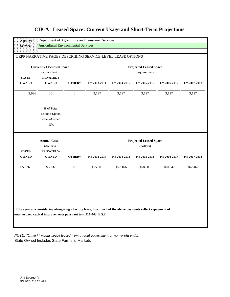|                               | <b>Currently Occupied Space</b><br>(square feet)       |                  |              |              | <b>Projected Leased Space</b><br>(square feet) |              |              |
|-------------------------------|--------------------------------------------------------|------------------|--------------|--------------|------------------------------------------------|--------------|--------------|
| <b>STATE-</b><br><b>OWNED</b> | PRIVATELY-<br><b>OWNED</b>                             | OTHER*           | FY 2013-2014 | FY 2014-2015 | FY 2015-2016                                   | FY 2016-2017 | FY 2017-2018 |
| 2,926                         | 201                                                    | $\boldsymbol{0}$ | 3,127        | 3,127        | 3,127                                          | 3,127        | 3,127        |
|                               | % of Total<br>Leased Space<br>Privately-Owned<br>$6\%$ |                  |              |              |                                                |              |              |
|                               | <b>Annual Costs</b><br>(dollars)                       |                  |              |              | <b>Projected Leased Space</b><br>(dollars)     |              |              |
| <b>STATE-</b><br><b>OWNED</b> | PRIVATELY-<br><b>OWNED</b>                             | OTHER*           | FY 2013-2014 | FY 2014-2015 | FY 2015-2016                                   | FY 2016-2017 | FY 2017-2018 |
| \$50,269                      | \$5,232                                                | \$0              | \$55,501     | \$57,166     | \$58,881                                       | \$60,647     | \$62,467     |
|                               |                                                        |                  |              |              |                                                |              |              |

*NOTE: "Other\*" means space leased from a local government or non-profit entity.* State Owned Includes State Farmers' Markets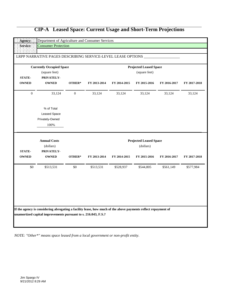|  | <b>CIP-A</b> Leased Space: Current Usage and Short-Term Projections |
|--|---------------------------------------------------------------------|

|                               | <b>Currently Occupied Space</b>                              |              |              |              | <b>Projected Leased Space</b>              |              |              |
|-------------------------------|--------------------------------------------------------------|--------------|--------------|--------------|--------------------------------------------|--------------|--------------|
| <b>STATE-</b><br><b>OWNED</b> | (square feet)<br>PRIVATELY-<br><b>OWNED</b>                  | OTHER*       | FY 2013-2014 | FY 2014-2015 | (square feet)<br>FY 2015-2016              | FY 2016-2017 | FY 2017-2018 |
| $\mathbf{0}$                  | 33,124                                                       | $\mathbf{0}$ | 33,124       | 33,124       | 33,124                                     | 33,124       | 33,124       |
|                               | % of Total<br><b>Leased Space</b><br>Privately-Owned<br>100% |              |              |              |                                            |              |              |
|                               | <b>Annual Costs</b><br>(dollars)                             |              |              |              | <b>Projected Leased Space</b><br>(dollars) |              |              |
| <b>STATE-</b><br><b>OWNED</b> | PRIVATELY-<br><b>OWNED</b>                                   | OTHER*       | FY 2013-2014 | FY 2014-2015 | FY 2015-2016                               | FY 2016-2017 | FY 2017-2018 |
| \$0                           | \$513,531                                                    | $\$0$        | \$513,531    | \$528,937    | \$544,805                                  | \$561,149    | \$577,984    |
|                               |                                                              |              |              |              |                                            |              |              |
|                               |                                                              |              |              |              |                                            |              |              |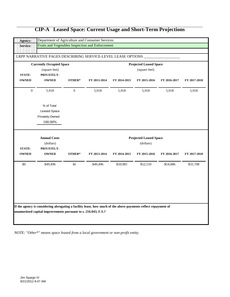|                               | <b>Currently Occupied Space</b> |                  |              |              | <b>Projected Leased Space</b> |              |              |
|-------------------------------|---------------------------------|------------------|--------------|--------------|-------------------------------|--------------|--------------|
|                               | (square feet)                   |                  |              |              | (square feet)                 |              |              |
| <b>STATE-</b><br><b>OWNED</b> | PRIVATELY-<br><b>OWNED</b>      | OTHER*           | FY 2013-2014 | FY 2014-2015 | FY 2015-2016                  | FY 2016-2017 | FY 2017-2018 |
|                               |                                 |                  |              |              |                               |              |              |
| $\boldsymbol{0}$              | 5,918                           | $\boldsymbol{0}$ | 5,918        | 5,918        | 5,918                         | 5,918        | 5,918        |
|                               | % of Total                      |                  |              |              |                               |              |              |
|                               | Leased Space                    |                  |              |              |                               |              |              |
|                               | Privately-Owned                 |                  |              |              |                               |              |              |
|                               | 100.00%                         |                  |              |              |                               |              |              |
|                               |                                 |                  |              |              | <b>Projected Leased Space</b> |              |              |
|                               |                                 |                  |              |              |                               |              |              |
|                               | <b>Annual Costs</b>             |                  |              |              |                               |              |              |
| <b>STATE-</b>                 | (dollars)                       |                  |              |              | (dollars)                     |              |              |
| <b>OWNED</b>                  | PRIVATELY-<br><b>OWNED</b>      | OTHER*           | FY 2013-2014 | FY 2014-2015 | FY 2015-2016                  | FY 2016-2017 | FY 2017-2018 |
| \$0                           | \$49,496                        | \$0              | \$49,496     | \$50,981     | \$52,510                      | \$54,086     | \$55,708     |
|                               |                                 |                  |              |              |                               |              |              |
|                               |                                 |                  |              |              |                               |              |              |
|                               |                                 |                  |              |              |                               |              |              |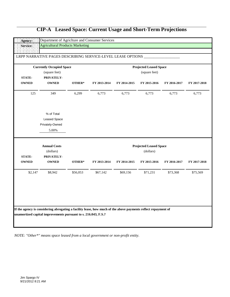|  | <b>CIP-A</b> Leased Space: Current Usage and Short-Term Projections |
|--|---------------------------------------------------------------------|

|               | <b>Currently Occupied Space</b> |          |              |              | <b>Projected Leased Space</b> |              |                          |
|---------------|---------------------------------|----------|--------------|--------------|-------------------------------|--------------|--------------------------|
|               | (square feet)                   |          |              |              | (square feet)                 |              |                          |
| <b>STATE-</b> | PRIVATELY-                      |          |              |              |                               |              |                          |
| <b>OWNED</b>  | <b>OWNED</b>                    | OTHER*   | FY 2013-2014 | FY 2014-2015 | FY 2015-2016                  | FY 2016-2017 | FY 2017-2018             |
| 125           | 349                             | 6,299    | 6,773        | 6,773        | 6,773                         | 6,773        | 6,773                    |
|               | % of Total                      |          |              |              |                               |              |                          |
|               | Leased Space                    |          |              |              |                               |              |                          |
|               | Privately-Owned                 |          |              |              |                               |              |                          |
|               | 5.00%                           |          |              |              |                               |              |                          |
|               | <b>Annual Costs</b>             |          |              |              | <b>Projected Leased Space</b> |              |                          |
|               |                                 |          |              |              |                               |              |                          |
|               | (dollars)                       |          |              |              | (dollars)                     |              |                          |
| <b>STATE-</b> | PRIVATELY-                      |          |              |              |                               |              |                          |
|               | <b>OWNED</b>                    | OTHER*   | FY 2013-2014 | FY 2014-2015 | FY 2015-2016                  | FY 2016-2017 |                          |
| \$2,147       | \$8,942                         | \$56,053 | \$67,142     | \$69,156     | \$71,231                      | \$73,368     | FY 2017-2018<br>\$75,569 |
|               |                                 |          |              |              |                               |              |                          |
|               |                                 |          |              |              |                               |              |                          |
| <b>OWNED</b>  |                                 |          |              |              |                               |              |                          |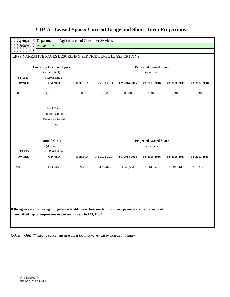|               | <b>Currently Occupied Space</b> |                  |              |              | <b>Projected Leased Space</b> |              |              |
|---------------|---------------------------------|------------------|--------------|--------------|-------------------------------|--------------|--------------|
|               | (square feet)                   |                  |              |              | (square feet)                 |              |              |
| <b>STATE-</b> | PRIVATELY-                      |                  |              |              |                               |              |              |
| <b>OWNED</b>  | <b>OWNED</b>                    | OTHER*           | FY 2013-2014 | FY 2014-2015 | FY 2015-2016                  | FY 2016-2017 | FY 2017-2018 |
| $\mathbf{0}$  | 8,380                           | $\boldsymbol{0}$ | 8,380        | 8,380        | 8,380                         | 8,380        | 8,380        |
|               | % of Total                      |                  |              |              |                               |              |              |
|               | Leased Space                    |                  |              |              |                               |              |              |
|               | Privately-Owned                 |                  |              |              |                               |              |              |
|               | 100%                            |                  |              |              |                               |              |              |
|               | <b>Annual Costs</b>             |                  |              |              | <b>Projected Leased Space</b> |              |              |
|               | (dollars)                       |                  |              |              | (dollars)                     |              |              |
| <b>STATE-</b> | PRIVATELY-                      |                  |              |              |                               |              |              |
| <b>OWNED</b>  | <b>OWNED</b>                    | OTHER*           | FY 2013-2014 | FY 2014-2015 | FY 2015-2016                  | FY 2016-2017 | FY 2017-2018 |
| \$0           | \$136,460                       | \$0              | \$136,460    | \$140,554    | \$144,770                     | \$149,114    | \$153,587    |
|               |                                 |                  |              |              |                               |              |              |
|               |                                 |                  |              |              |                               |              |              |
|               |                                 |                  |              |              |                               |              |              |
|               |                                 |                  |              |              |                               |              |              |
|               |                                 |                  |              |              |                               |              |              |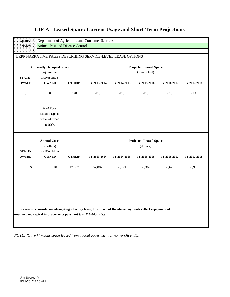|                               | <b>Currently Occupied Space</b> |         |              |              | <b>Projected Leased Space</b> |              |              |
|-------------------------------|---------------------------------|---------|--------------|--------------|-------------------------------|--------------|--------------|
|                               | (square feet)                   |         |              |              | (square feet)                 |              |              |
| <b>STATE-</b><br><b>OWNED</b> | PRIVATELY-<br><b>OWNED</b>      | OTHER*  | FY 2013-2014 | FY 2014-2015 | FY 2015-2016                  | FY 2016-2017 | FY 2017-2018 |
| $\boldsymbol{0}$              | $\mathbf{0}$                    | 478     | 478          | 478          | 478                           | 478          | 478          |
|                               | % of Total                      |         |              |              |                               |              |              |
|                               | Leased Space                    |         |              |              |                               |              |              |
|                               | Privately-Owned                 |         |              |              |                               |              |              |
|                               | 0.00%                           |         |              |              |                               |              |              |
|                               | <b>Annual Costs</b>             |         |              |              | <b>Projected Leased Space</b> |              |              |
|                               | (dollars)                       |         |              |              | (dollars)                     |              |              |
| <b>STATE-</b>                 | PRIVATELY-                      |         |              |              |                               |              |              |
| <b>OWNED</b>                  | <b>OWNED</b>                    | OTHER*  | FY 2013-2014 | FY 2014-2015 | FY 2015-2016                  | FY 2016-2017 | FY 2017-2018 |
| $\$0$                         | \$0                             | \$7,887 | \$7,887      | \$8,124      | \$8,367                       | \$8,643      | \$8,903      |
|                               |                                 |         |              |              |                               |              |              |
|                               |                                 |         |              |              |                               |              |              |
|                               |                                 |         |              |              |                               |              |              |
|                               |                                 |         |              |              |                               |              |              |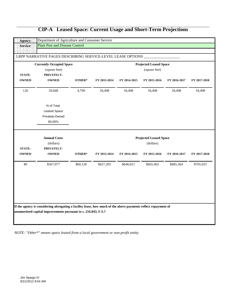|               | <b>Currently Occupied Space</b> |          |              |              | <b>Projected Leased Space</b> |              |              |
|---------------|---------------------------------|----------|--------------|--------------|-------------------------------|--------------|--------------|
|               | (square feet)                   |          |              |              | (square feet)                 |              |              |
| <b>STATE-</b> | PRIVATELY-                      |          |              |              |                               |              |              |
| <b>OWNED</b>  | <b>OWNED</b>                    | OTHER*   | FY 2013-2014 | FY 2014-2015 | FY 2015-2016                  | FY 2016-2017 | FY 2017-2018 |
| 120           | 29,668                          | 4,709    | 34,498       | 34,498       | 34,498                        | 34,498       | 34,498       |
|               | % of Total                      |          |              |              |                               |              |              |
|               | Leased Space                    |          |              |              |                               |              |              |
|               | Privately-Owned                 |          |              |              |                               |              |              |
|               | 86.00%                          |          |              |              |                               |              |              |
|               | <b>Annual Costs</b>             |          |              |              | <b>Projected Leased Space</b> |              |              |
|               | (dollars)                       |          |              |              | (dollars)                     |              |              |
|               |                                 |          |              |              |                               |              |              |
| <b>STATE-</b> | PRIVATELY-                      |          |              |              |                               |              | FY 2017-2018 |
| <b>OWNED</b>  | <b>OWNED</b>                    | OTHER*   | FY 2013-2014 | FY 2014-2015 | FY 2015-2016                  | FY 2016-2017 |              |
| \$0           | \$567,077                       | \$60,128 | \$627,205    | \$646,021    | \$665,402                     | \$685,364    | \$705,925    |
|               |                                 |          |              |              |                               |              |              |
|               |                                 |          |              |              |                               |              |              |
|               |                                 |          |              |              |                               |              |              |